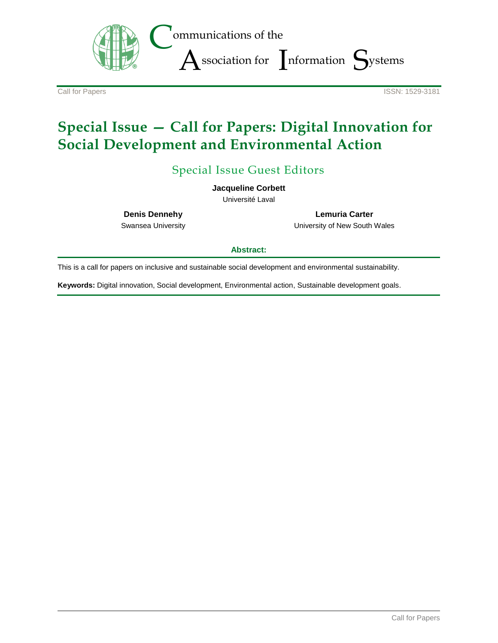

**Call for Papers ISSN: 1529-3181** 

# **Special Issue — Call for Papers: Digital Innovation for Social Development and Environmental Action**

Special Issue Guest Editors

**Jacqueline Corbett**

Université Laval

**Denis Dennehy**

Swansea University

**Lemuria Carter** University of New South Wales

#### **Abstract:**

This is a call for papers on inclusive and sustainable social development and environmental sustainability.

**Keywords:** Digital innovation, Social development, Environmental action, Sustainable development goals.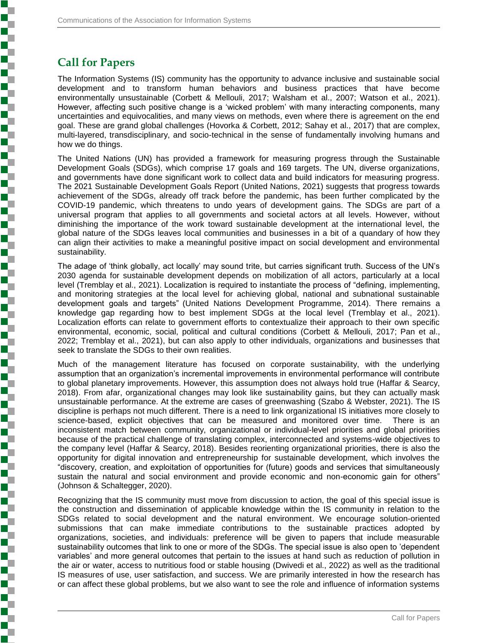# **Call for Papers**

**Experience in the property of the contract of the contract of the contract of the contract of the contract of** 

The Information Systems (IS) community has the opportunity to advance inclusive and sustainable social development and to transform human behaviors and business practices that have become environmentally unsustainable (Corbett & Mellouli, 2017; Walsham et al., 2007; Watson et al., 2021). However, affecting such positive change is a 'wicked problem' with many interacting components, many uncertainties and equivocalities, and many views on methods, even where there is agreement on the end goal. These are grand global challenges (Hovorka & Corbett, 2012; Sahay et al., 2017) that are complex, multi-layered, transdisciplinary, and socio-technical in the sense of fundamentally involving humans and how we do things.

The United Nations (UN) has provided a framework for measuring progress through the Sustainable Development Goals (SDGs), which comprise 17 goals and 169 targets. The UN, diverse organizations, and governments have done significant work to collect data and build indicators for measuring progress. The 2021 Sustainable Development Goals Report (United Nations, 2021) suggests that progress towards achievement of the SDGs, already off track before the pandemic, has been further complicated by the COVID-19 pandemic, which threatens to undo years of development gains. The SDGs are part of a universal program that applies to all governments and societal actors at all levels. However, without diminishing the importance of the work toward sustainable development at the international level, the global nature of the SDGs leaves local communities and businesses in a bit of a quandary of how they can align their activities to make a meaningful positive impact on social development and environmental sustainability.

The adage of 'think globally, act locally' may sound trite, but carries significant truth. Success of the UN's 2030 agenda for sustainable development depends on mobilization of all actors, particularly at a local level (Tremblay et al., 2021). Localization is required to instantiate the process of "defining, implementing, and monitoring strategies at the local level for achieving global, national and subnational sustainable development goals and targets" (United Nations Development Programme, 2014). There remains a knowledge gap regarding how to best implement SDGs at the local level (Tremblay et al., 2021). Localization efforts can relate to government efforts to contextualize their approach to their own specific environmental, economic, social, political and cultural conditions (Corbett & Mellouli, 2017; Pan et al., 2022; Tremblay et al., 2021), but can also apply to other individuals, organizations and businesses that seek to translate the SDGs to their own realities.

Much of the management literature has focused on corporate sustainability, with the underlying assumption that an organization's incremental improvements in environmental performance will contribute to global planetary improvements. However, this assumption does not always hold true (Haffar & Searcy, 2018). From afar, organizational changes may look like sustainability gains, but they can actually mask unsustainable performance. At the extreme are cases of greenwashing (Szabo & Webster, 2021). The IS discipline is perhaps not much different. There is a need to link organizational IS initiatives more closely to science-based, explicit objectives that can be measured and monitored over time. There is an inconsistent match between community, organizational or individual-level priorities and global priorities because of the practical challenge of translating complex, interconnected and systems-wide objectives to the company level (Haffar & Searcy, 2018). Besides reorienting organizational priorities, there is also the opportunity for digital innovation and entrepreneurship for sustainable development, which involves the "discovery, creation, and exploitation of opportunities for (future) goods and services that simultaneously sustain the natural and social environment and provide economic and non-economic gain for others" (Johnson & Schaltegger, 2020).

Recognizing that the IS community must move from discussion to action, the goal of this special issue is the construction and dissemination of applicable knowledge within the IS community in relation to the SDGs related to social development and the natural environment. We encourage solution-oriented submissions that can make immediate contributions to the sustainable practices adopted by organizations, societies, and individuals: preference will be given to papers that include measurable sustainability outcomes that link to one or more of the SDGs. The special issue is also open to 'dependent variables' and more general outcomes that pertain to the issues at hand such as reduction of pollution in the air or water, access to nutritious food or stable housing (Dwivedi et al., 2022) as well as the traditional IS measures of use, user satisfaction, and success. We are primarily interested in how the research has or can affect these global problems, but we also want to see the role and influence of information systems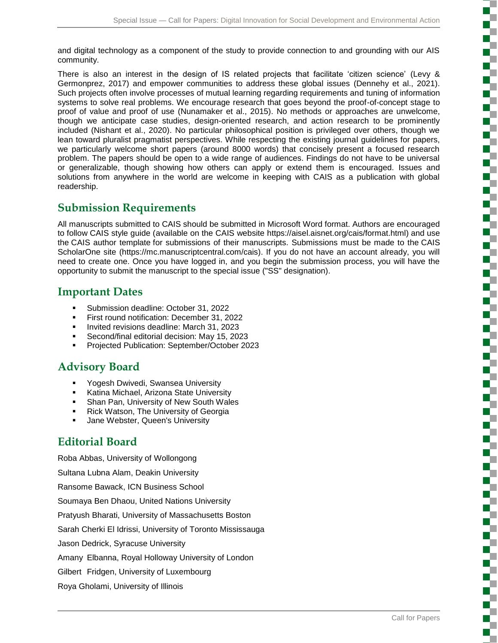and digital technology as a component of the study to provide connection to and grounding with our AIS community.

There is also an interest in the design of IS related projects that facilitate 'citizen science' (Levy & Germonprez, 2017) and empower communities to address these global issues (Dennehy et al., 2021). Such projects often involve processes of mutual learning regarding requirements and tuning of information systems to solve real problems. We encourage research that goes beyond the proof-of-concept stage to proof of value and proof of use (Nunamaker et al., 2015). No methods or approaches are unwelcome, though we anticipate case studies, design-oriented research, and action research to be prominently included (Nishant et al., 2020). No particular philosophical position is privileged over others, though we lean toward pluralist pragmatist perspectives. While respecting the existing journal guidelines for papers, we particularly welcome short papers (around 8000 words) that concisely present a focused research problem. The papers should be open to a wide range of audiences. Findings do not have to be universal or generalizable, though showing how others can apply or extend them is encouraged. Issues and solutions from anywhere in the world are welcome in keeping with CAIS as a publication with global readership.

#### **Submission Requirements**

All manuscripts submitted to CAIS should be submitted in Microsoft Word format. Authors are encouraged to follow CAIS style guide (available on the CAIS website https://aisel.aisnet.org/cais/format.html) and use the CAIS author template for submissions of their manuscripts. Submissions must be made to the CAIS ScholarOne site (https://mc.manuscriptcentral.com/cais). If you do not have an account already, you will need to create one. Once you have logged in, and you begin the submission process, you will have the opportunity to submit the manuscript to the special issue ("SS" designation).

#### **Important Dates**

- **Submission deadline: October 31, 2022**
- First round notification: December 31, 2022
- **Invited revisions deadline: March 31, 2023**
- Second/final editorial decision: May 15, 2023
- Projected Publication: September/October 2023

## **Advisory Board**

- **Yogesh Dwivedi, Swansea University**
- Katina Michael, Arizona State University
- Shan Pan, University of New South Wales
- **Rick Watson, The University of Georgia**
- Jane Webster, Queen's University

### **Editorial Board**

Roba Abbas, University of Wollongong Sultana Lubna Alam, Deakin University Ransome Bawack, ICN Business School Soumaya Ben Dhaou, United Nations University Pratyush Bharati, University of Massachusetts Boston Sarah Cherki El Idrissi, University of Toronto Mississauga Jason Dedrick, Syracuse University Amany Elbanna, Royal Holloway University of London Gilbert Fridgen, University of Luxembourg Roya Gholami, University of Illinois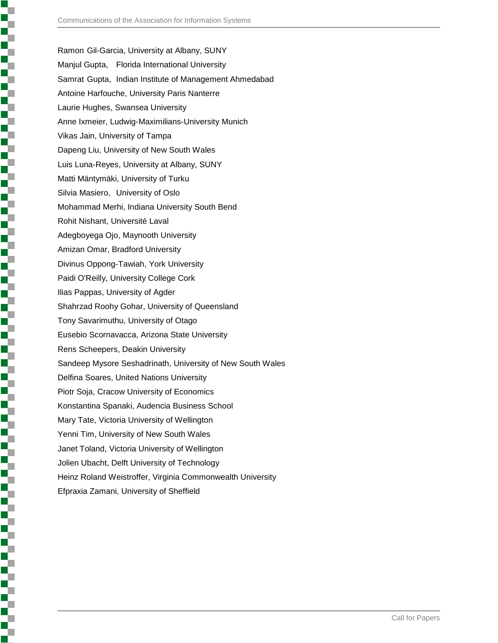Ramon Gil-Garcia, University at Albany, SUNY Manjul Gupta, Florida International University Samrat Gupta, Indian Institute of Management Ahmedabad Antoine Harfouche, University Paris Nanterre Laurie Hughes, Swansea University Anne Ixmeier, Ludwig-Maximilians-University Munich Vikas Jain, University of Tampa Dapeng Liu, University of New South Wales Luis Luna-Reyes, University at Albany, SUNY Matti Mäntymäki, University of Turku Silvia Masiero, University of Oslo Mohammad Merhi, Indiana University South Bend Rohit Nishant, Université Laval Adegboyega Ojo, Maynooth University Amizan Omar, Bradford University Divinus Oppong-Tawiah, York University Paidi O'Reilly, University College Cork Ilias Pappas, University of Agder Shahrzad Roohy Gohar, University of Queensland Tony Savarimuthu, University of Otago Eusebio Scornavacca, Arizona State University Rens Scheepers, Deakin University Sandeep Mysore Seshadrinath, University of New South Wales Delfina Soares, United Nations University Piotr Soja, Cracow University of Economics Konstantina Spanaki, Audencia Business School Mary Tate, Victoria University of Wellington Yenni Tim, University of New South Wales Janet Toland, Victoria University of Wellington Jolien Ubacht, Delft University of Technology Heinz Roland Weistroffer, Virginia Commonwealth University Efpraxia Zamani, University of Sheffield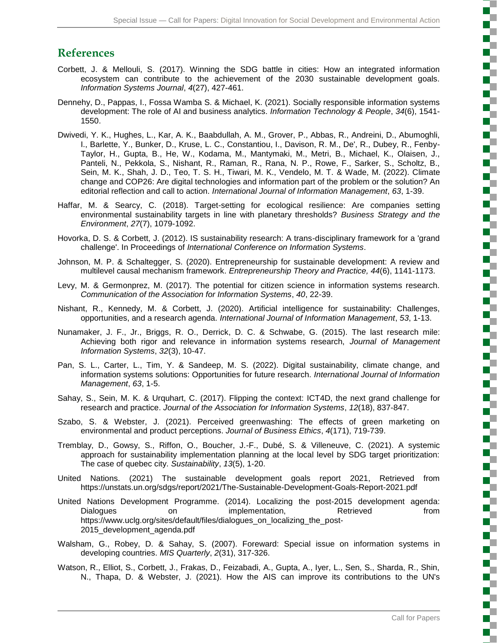### **References**

- Corbett, J. & Mellouli, S. (2017). Winning the SDG battle in cities: How an integrated information ecosystem can contribute to the achievement of the 2030 sustainable development goals. *Information Systems Journal*, *4*(27), 427-461.
- Dennehy, D., Pappas, I., Fossa Wamba S. & Michael, K. (2021). Socially responsible information systems development: The role of AI and business analytics. *Information Technology & People*, *34*(6), 1541- 1550.
- Dwivedi, Y. K., Hughes, L., Kar, A. K., Baabdullah, A. M., Grover, P., Abbas, R., Andreini, D., Abumoghli, I., Barlette, Y., Bunker, D., Kruse, L. C., Constantiou, I., Davison, R. M., De', R., Dubey, R., Fenby-Taylor, H., Gupta, B., He, W., Kodama, M., Mantymaki, M., Metri, B., Michael, K., Olaisen, J., Panteli, N., Pekkola, S., Nishant, R., Raman, R., Rana, N. P., Rowe, F., Sarker, S., Scholtz, B., Sein, M. K., Shah, J. D., Teo, T. S. H., Tiwari, M. K., Vendelo, M. T. & Wade, M. (2022). Climate change and COP26: Are digital technologies and information part of the problem or the solution? An editorial reflection and call to action. *International Journal of Information Management*, *63*, 1-39.
- Haffar, M. & Searcy, C. (2018). Target-setting for ecological resilience: Are companies setting environmental sustainability targets in line with planetary thresholds? *Business Strategy and the Environment*, *27*(7), 1079-1092.
- Hovorka, D. S. & Corbett, J. (2012). IS sustainability research: A trans-disciplinary framework for a 'grand challenge'. In Proceedings of *International Conference on Information Systems*.
- Johnson, M. P. & Schaltegger, S. (2020). Entrepreneurship for sustainable development: A review and multilevel causal mechanism framework. *Entrepreneurship Theory and Practice, 44*(6), 1141-1173.
- Levy, M. & Germonprez, M. (2017). The potential for citizen science in information systems research. *Communication of the Association for Information Systems*, *40*, 22-39.
- Nishant, R., Kennedy, M. & Corbett, J. (2020). Artificial intelligence for sustainability: Challenges, opportunities, and a research agenda. *International Journal of Information Management*, *53*, 1-13.
- Nunamaker, J. F., Jr., Briggs, R. O., Derrick, D. C. & Schwabe, G. (2015). The last research mile: Achieving both rigor and relevance in information systems research, *Journal of Management Information Systems*, *32*(3), 10-47.
- Pan, S. L., Carter, L., Tim, Y. & Sandeep, M. S. (2022). Digital sustainability, climate change, and information systems solutions: Opportunities for future research. *International Journal of Information Management*, *63*, 1-5.
- Sahay, S., Sein, M. K. & Urquhart, C. (2017). Flipping the context: ICT4D, the next grand challenge for research and practice. *Journal of the Association for Information Systems*, *12*(18), 837-847.
- Szabo, S. & Webster, J. (2021). Perceived greenwashing: The effects of green marketing on environmental and product perceptions. *Journal of Business Ethics*, *4*(171), 719-739.
- Tremblay, D., Gowsy, S., Riffon, O., Boucher, J.-F., Dubé, S. & Villeneuve, C. (2021). A systemic approach for sustainability implementation planning at the local level by SDG target prioritization: The case of quebec city. *Sustainability*, *13*(5), 1-20.
- United Nations. (2021) The sustainable development goals report 2021, Retrieved from https://unstats.un.org/sdgs/report/2021/The-Sustainable-Development-Goals-Report-2021.pdf
- United Nations Development Programme. (2014). Localizing the post-2015 development agenda: Dialogues on implementation, Retrieved from https://www.uclg.org/sites/default/files/dialogues\_on\_localizing\_the\_post-2015\_development\_agenda.pdf
- Walsham, G., Robey, D. & Sahay, S. (2007). Foreward: Special issue on information systems in developing countries. *MIS Quarterly*, *2*(31), 317-326.
- Watson, R., Elliot, S., Corbett, J., Frakas, D., Feizabadi, A., Gupta, A., Iyer, L., Sen, S., Sharda, R., Shin, N., Thapa, D. & Webster, J. (2021). How the AIS can improve its contributions to the UN's